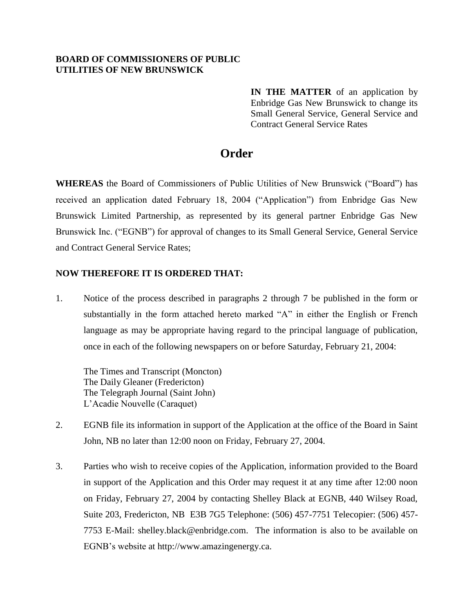## **BOARD OF COMMISSIONERS OF PUBLIC UTILITIES OF NEW BRUNSWICK**

**IN THE MATTER** of an application by Enbridge Gas New Brunswick to change its Small General Service, General Service and Contract General Service Rates

## **Order**

**WHEREAS** the Board of Commissioners of Public Utilities of New Brunswick ("Board") has received an application dated February 18, 2004 ("Application") from Enbridge Gas New Brunswick Limited Partnership, as represented by its general partner Enbridge Gas New Brunswick Inc. ("EGNB") for approval of changes to its Small General Service, General Service and Contract General Service Rates;

## **NOW THEREFORE IT IS ORDERED THAT:**

1. Notice of the process described in paragraphs 2 through 7 be published in the form or substantially in the form attached hereto marked "A" in either the English or French language as may be appropriate having regard to the principal language of publication, once in each of the following newspapers on or before Saturday, February 21, 2004:

The Times and Transcript (Moncton) The Daily Gleaner (Fredericton) The Telegraph Journal (Saint John) L'Acadie Nouvelle (Caraquet)

- 2. EGNB file its information in support of the Application at the office of the Board in Saint John, NB no later than 12:00 noon on Friday, February 27, 2004.
- 3. Parties who wish to receive copies of the Application, information provided to the Board in support of the Application and this Order may request it at any time after 12:00 noon on Friday, February 27, 2004 by contacting Shelley Black at EGNB, 440 Wilsey Road, Suite 203, Fredericton, NB E3B 7G5 Telephone: (506) 457-7751 Telecopier: (506) 457- 7753 E-Mail: [shelley.black@enbridge.com.](mailto:shelley.black@enbridge.com) The information is also to be available on EGNB's website at [http://www.amazingenergy.ca.](http://www.amazingenergy.ca/)